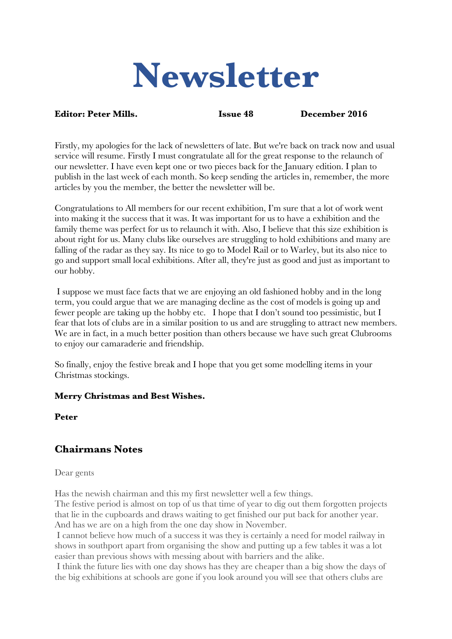# **Newsletter**

#### **Editor: Peter Mills. Issue 48 December 2016**

Firstly, my apologies for the lack of newsletters of late. But we're back on track now and usual service will resume. Firstly I must congratulate all for the great response to the relaunch of our newsletter. I have even kept one or two pieces back for the January edition. I plan to publish in the last week of each month. So keep sending the articles in, remember, the more articles by you the member, the better the newsletter will be.

Congratulations to All members for our recent exhibition, I'm sure that a lot of work went into making it the success that it was. It was important for us to have a exhibition and the family theme was perfect for us to relaunch it with. Also, I believe that this size exhibition is about right for us. Many clubs like ourselves are struggling to hold exhibitions and many are falling of the radar as they say. Its nice to go to Model Rail or to Warley, but its also nice to go and support small local exhibitions. After all, they're just as good and just as important to our hobby.

I suppose we must face facts that we are enjoying an old fashioned hobby and in the long term, you could argue that we are managing decline as the cost of models is going up and fewer people are taking up the hobby etc. I hope that I don't sound too pessimistic, but I fear that lots of clubs are in a similar position to us and are struggling to attract new members. We are in fact, in a much better position than others because we have such great Clubrooms to enjoy our camaraderie and friendship.

So finally, enjoy the festive break and I hope that you get some modelling items in your Christmas stockings.

## **Merry Christmas and Best Wishes.**

**Peter**

# **Chairmans Notes**

Dear gents

Has the newish chairman and this my first newsletter well a few things.

The festive period is almost on top of us that time of year to dig out them forgotten projects that lie in the cupboards and draws waiting to get finished our put back for another year. And has we are on a high from the one day show in November.

I cannot believe how much of a success it was they is certainly a need for model railway in shows in southport apart from organising the show and putting up a few tables it was a lot easier than previous shows with messing about with barriers and the alike.

I think the future lies with one day shows has they are cheaper than a big show the days of the big exhibitions at schools are gone if you look around you will see that others clubs are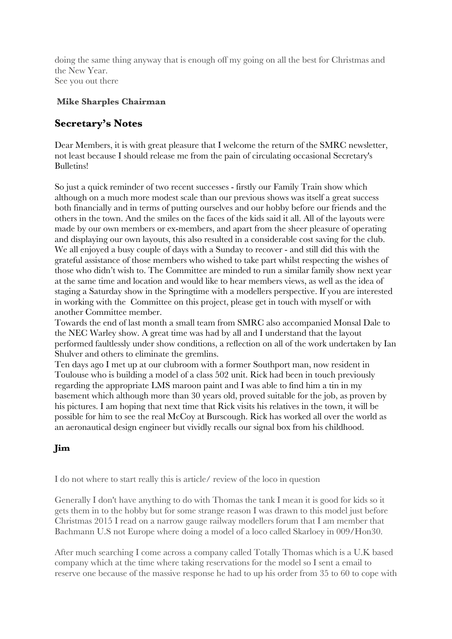doing the same thing anyway that is enough off my going on all the best for Christmas and the New Year. See you out there

## **Mike Sharples Chairman**

# **Secretary's Notes**

Dear Members, it is with great pleasure that I welcome the return of the SMRC newsletter, not least because I should release me from the pain of circulating occasional Secretary's Bulletins!

So just a quick reminder of two recent successes - firstly our Family Train show which although on a much more modest scale than our previous shows was itself a great success both financially and in terms of putting ourselves and our hobby before our friends and the others in the town. And the smiles on the faces of the kids said it all. All of the layouts were made by our own members or ex-members, and apart from the sheer pleasure of operating and displaying our own layouts, this also resulted in a considerable cost saving for the club. We all enjoyed a busy couple of days with a Sunday to recover - and still did this with the grateful assistance of those members who wished to take part whilst respecting the wishes of those who didn't wish to. The Committee are minded to run a similar family show next year at the same time and location and would like to hear members views, as well as the idea of staging a Saturday show in the Springtime with a modellers perspective. If you are interested in working with the Committee on this project, please get in touch with myself or with another Committee member.

Towards the end of last month a small team from SMRC also accompanied Monsal Dale to the NEC Warley show. A great time was had by all and I understand that the layout performed faultlessly under show conditions, a reflection on all of the work undertaken by Ian Shulver and others to eliminate the gremlins.

Ten days ago I met up at our clubroom with a former Southport man, now resident in Toulouse who is building a model of a class 502 unit. Rick had been in touch previously regarding the appropriate LMS maroon paint and I was able to find him a tin in my basement which although more than 30 years old, proved suitable for the job, as proven by his pictures. I am hoping that next time that Rick visits his relatives in the town, it will be possible for him to see the real McCoy at Burscough. Rick has worked all over the world as an aeronautical design engineer but vividly recalls our signal box from his childhood.

## **Jim**

I do not where to start really this is article/ review of the loco in question

Generally I don't have anything to do with Thomas the tank I mean it is good for kids so it gets them in to the hobby but for some strange reason I was drawn to this model just before Christmas 2015 I read on a narrow gauge railway modellers forum that I am member that Bachmann U.S not Europe where doing a model of a loco called Skarloey in 009/Hon30.

After much searching I come across a company called Totally Thomas which is a U.K based company which at the time where taking reservations for the model so I sent a email to reserve one because of the massive response he had to up his order from 35 to 60 to cope with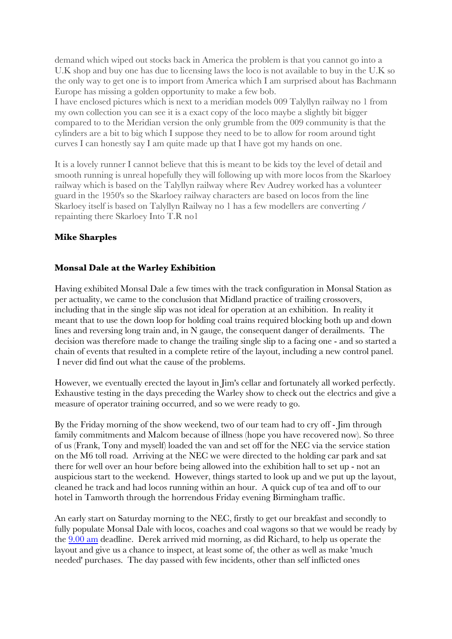demand which wiped out stocks back in America the problem is that you cannot go into a U.K shop and buy one has due to licensing laws the loco is not available to buy in the U.K so the only way to get one is to import from America which I am surprised about has Bachmann Europe has missing a golden opportunity to make a few bob.

I have enclosed pictures which is next to a meridian models 009 Talyllyn railway no 1 from my own collection you can see it is a exact copy of the loco maybe a slightly bit bigger compared to to the Meridian version the only grumble from the 009 community is that the cylinders are a bit to big which I suppose they need to be to allow for room around tight curves I can honestly say I am quite made up that I have got my hands on one.

It is a lovely runner I cannot believe that this is meant to be kids toy the level of detail and smooth running is unreal hopefully they will following up with more locos from the Skarloey railway which is based on the Talyllyn railway where Rev Audrey worked has a volunteer guard in the 1950's so the Skarloey railway characters are based on locos from the line Skarloey itself is based on Talyllyn Railway no 1 has a few modellers are converting / repainting there Skarloey Into T.R no1

## **Mike Sharples**

## **Monsal Dale at the Warley Exhibition**

Having exhibited Monsal Dale a few times with the track configuration in Monsal Station as per actuality, we came to the conclusion that Midland practice of trailing crossovers, including that in the single slip was not ideal for operation at an exhibition. In reality it meant that to use the down loop for holding coal trains required blocking both up and down lines and reversing long train and, in N gauge, the consequent danger of derailments. The decision was therefore made to change the trailing single slip to a facing one - and so started a chain of events that resulted in a complete retire of the layout, including a new control panel. I never did find out what the cause of the problems.

However, we eventually erected the layout in Jim's cellar and fortunately all worked perfectly. Exhaustive testing in the days preceding the Warley show to check out the electrics and give a measure of operator training occurred, and so we were ready to go.

By the Friday morning of the show weekend, two of our team had to cry off - Jim through family commitments and Malcom because of illness (hope you have recovered now). So three of us (Frank, Tony and myself) loaded the van and set off for the NEC via the service station on the M6 toll road. Arriving at the NEC we were directed to the holding car park and sat there for well over an hour before being allowed into the exhibition hall to set up - not an auspicious start to the weekend. However, things started to look up and we put up the layout, cleaned he track and had locos running within an hour. A quick cup of tea and off to our hotel in Tamworth through the horrendous Friday evening Birmingham traffic.

An early start on Saturday morning to the NEC, firstly to get our breakfast and secondly to fully populate Monsal Dale with locos, coaches and coal wagons so that we would be ready by the [9.00](x-apple-data-detectors://3) am deadline. Derek arrived mid morning, as did Richard, to help us operate the layout and give us a chance to inspect, at least some of, the other as well as make 'much needed' purchases. The day passed with few incidents, other than self inflicted ones